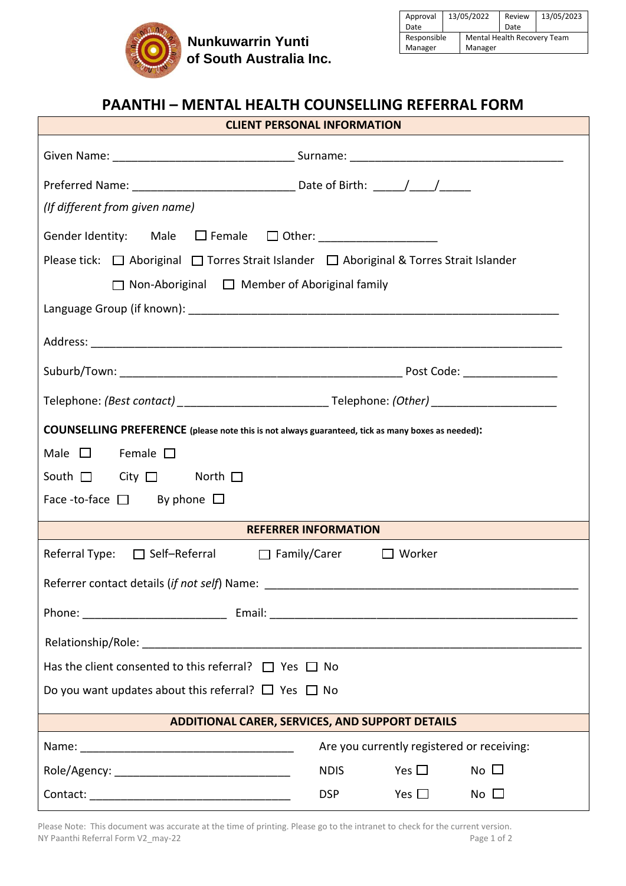

## **PAANTHI – MENTAL HEALTH COUNSELLING REFERRAL FORM**

| <b>CLIENT PERSONAL INFORMATION</b>                                                                      |                                              |  |  |
|---------------------------------------------------------------------------------------------------------|----------------------------------------------|--|--|
|                                                                                                         |                                              |  |  |
|                                                                                                         |                                              |  |  |
| (If different from given name)                                                                          |                                              |  |  |
| Gender Identity: Male □ Female □ Other: ___________________                                             |                                              |  |  |
| Please tick: $\Box$ Aboriginal $\Box$ Torres Strait Islander $\Box$ Aboriginal & Torres Strait Islander |                                              |  |  |
| $\Box$ Non-Aboriginal $\Box$ Member of Aboriginal family                                                |                                              |  |  |
|                                                                                                         |                                              |  |  |
|                                                                                                         |                                              |  |  |
|                                                                                                         |                                              |  |  |
|                                                                                                         |                                              |  |  |
| COUNSELLING PREFERENCE (please note this is not always guaranteed, tick as many boxes as needed):       |                                              |  |  |
| Male $\square$ Female $\square$                                                                         |                                              |  |  |
| South $\Box$ City $\Box$ North $\Box$                                                                   |                                              |  |  |
| Face -to-face $\square$ By phone $\square$                                                              |                                              |  |  |
| <b>REFERRER INFORMATION</b>                                                                             |                                              |  |  |
| Referral Type: $\Box$ Self-Referral $\Box$ Family/Carer $\Box$ Worker                                   |                                              |  |  |
| Referrer contact details (if not self) Name:                                                            |                                              |  |  |
|                                                                                                         |                                              |  |  |
|                                                                                                         |                                              |  |  |
| Has the client consented to this referral? $\Box$ Yes $\Box$ No                                         |                                              |  |  |
| Do you want updates about this referral? $\Box$ Yes $\Box$ No                                           |                                              |  |  |
| <b>ADDITIONAL CARER, SERVICES, AND SUPPORT DETAILS</b>                                                  |                                              |  |  |
|                                                                                                         | Are you currently registered or receiving:   |  |  |
|                                                                                                         | Yes $\square$<br>No $\square$<br><b>NDIS</b> |  |  |
|                                                                                                         | Yes $\square$<br>No $\square$<br><b>DSP</b>  |  |  |

Please Note: This document was accurate at the time of printing. Please go to the intranet to check for the current version. NY Paanthi Referral Form V2 may-22 **Page 1 of 2** Page 1 of 2